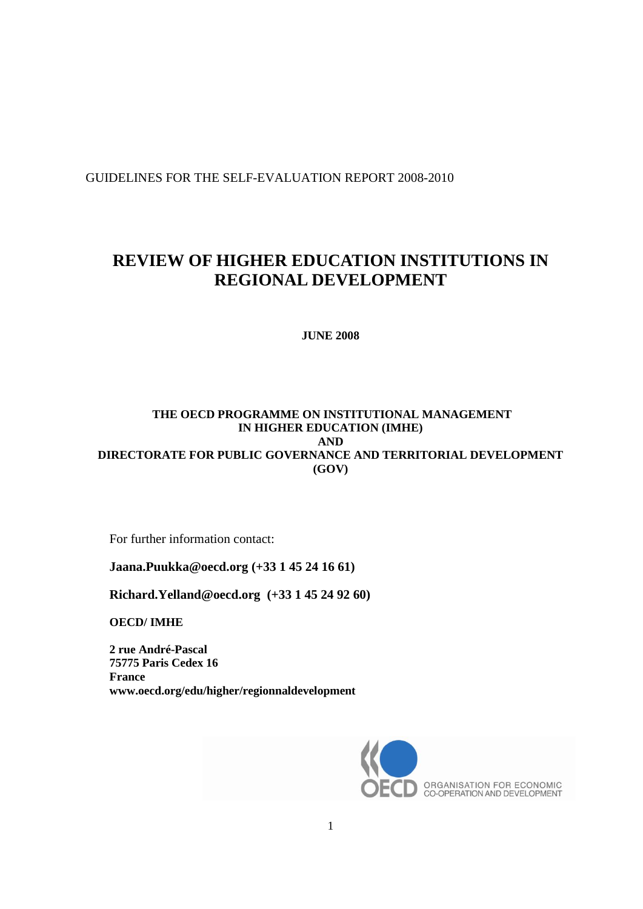GUIDELINES FOR THE SELF-EVALUATION REPORT 2008-2010

# **REVIEW OF HIGHER EDUCATION INSTITUTIONS IN REGIONAL DEVELOPMENT**

**JUNE 2008**

## **THE OECD PROGRAMME ON INSTITUTIONAL MANAGEMENT IN HIGHER EDUCATION (IMHE) AND DIRECTORATE FOR PUBLIC GOVERNANCE AND TERRITORIAL DEVELOPMENT (GOV)**

For further information contact:

**Jaana.Puukka@oecd.org (+33 1 45 24 16 61)**

**[Richard.Yelland@oecd.org](mailto:Richard.Yelland@oecd.org) (+33 1 45 24 92 60)**

**OECD/ IMHE**

**2 rue André-Pascal 75775 Paris Cedex 16 France www.oecd.org/edu/higher/regionnaldevelopment**

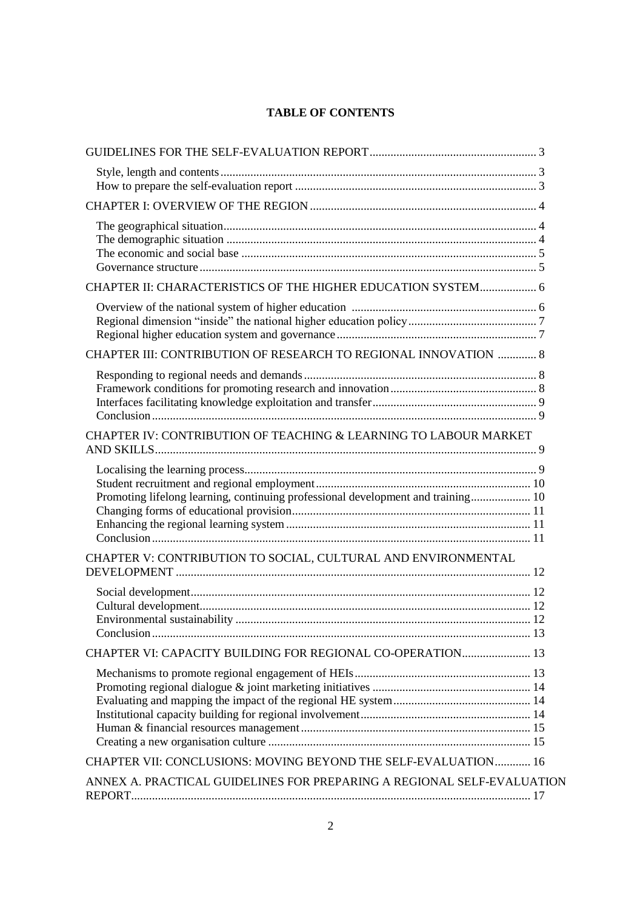## **TABLE OF CONTENTS**

| CHAPTER II: CHARACTERISTICS OF THE HIGHER EDUCATION SYSTEM 6                     |  |
|----------------------------------------------------------------------------------|--|
|                                                                                  |  |
|                                                                                  |  |
|                                                                                  |  |
| CHAPTER III: CONTRIBUTION OF RESEARCH TO REGIONAL INNOVATION  8                  |  |
|                                                                                  |  |
|                                                                                  |  |
|                                                                                  |  |
|                                                                                  |  |
| CHAPTER IV: CONTRIBUTION OF TEACHING & LEARNING TO LABOUR MARKET                 |  |
|                                                                                  |  |
|                                                                                  |  |
| Promoting lifelong learning, continuing professional development and training 10 |  |
|                                                                                  |  |
|                                                                                  |  |
|                                                                                  |  |
| CHAPTER V: CONTRIBUTION TO SOCIAL, CULTURAL AND ENVIRONMENTAL                    |  |
|                                                                                  |  |
|                                                                                  |  |
|                                                                                  |  |
|                                                                                  |  |
| CHAPTER VI: CAPACITY BUILDING FOR REGIONAL CO-OPERATION 13                       |  |
|                                                                                  |  |
|                                                                                  |  |
|                                                                                  |  |
|                                                                                  |  |
|                                                                                  |  |
|                                                                                  |  |
| CHAPTER VII: CONCLUSIONS: MOVING BEYOND THE SELF-EVALUATION 16                   |  |
| ANNEX A. PRACTICAL GUIDELINES FOR PREPARING A REGIONAL SELF-EVALUATION           |  |
|                                                                                  |  |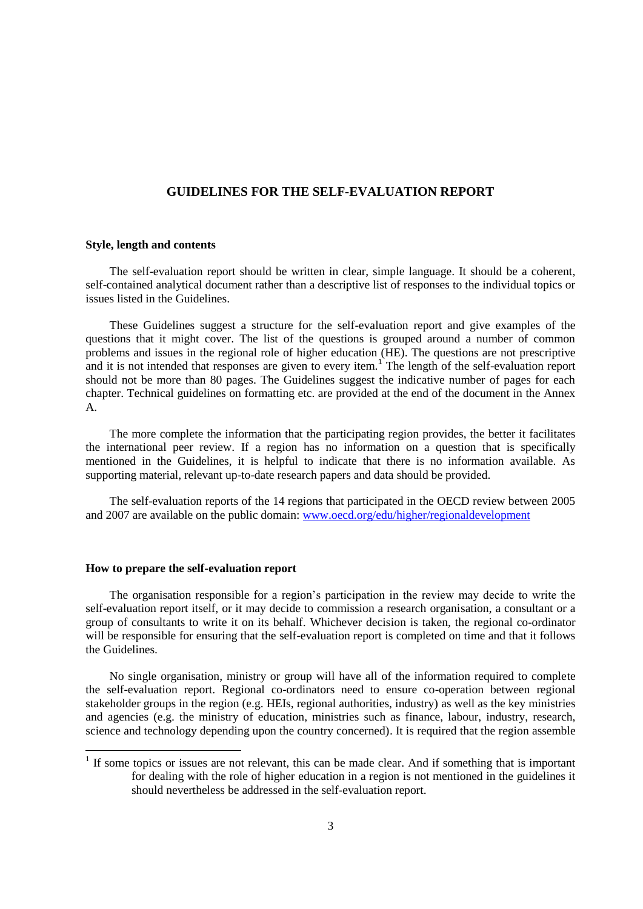## **GUIDELINES FOR THE SELF-EVALUATION REPORT**

#### **Style, length and contents**

The self-evaluation report should be written in clear, simple language. It should be a coherent, self-contained analytical document rather than a descriptive list of responses to the individual topics or issues listed in the Guidelines.

These Guidelines suggest a structure for the self-evaluation report and give examples of the questions that it might cover. The list of the questions is grouped around a number of common problems and issues in the regional role of higher education (HE). The questions are not prescriptive and it is not intended that responses are given to every item.<sup>1</sup> The length of the self-evaluation report should not be more than 80 pages. The Guidelines suggest the indicative number of pages for each chapter. Technical guidelines on formatting etc. are provided at the end of the document in the Annex A.

The more complete the information that the participating region provides, the better it facilitates the international peer review. If a region has no information on a question that is specifically mentioned in the Guidelines, it is helpful to indicate that there is no information available. As supporting material, relevant up-to-date research papers and data should be provided.

The self-evaluation reports of the 14 regions that participated in the OECD review between 2005 and 2007 are available on the public domain: <www.oecd.org/edu/higher/regionaldevelopment>

#### **How to prepare the self-evaluation report**

l

The organisation responsible for a region's participation in the review may decide to write the self-evaluation report itself, or it may decide to commission a research organisation, a consultant or a group of consultants to write it on its behalf. Whichever decision is taken, the regional co-ordinator will be responsible for ensuring that the self-evaluation report is completed on time and that it follows the Guidelines.

No single organisation, ministry or group will have all of the information required to complete the self-evaluation report. Regional co-ordinators need to ensure co-operation between regional stakeholder groups in the region (e.g. HEIs, regional authorities, industry) as well as the key ministries and agencies (e.g. the ministry of education, ministries such as finance, labour, industry, research, science and technology depending upon the country concerned). It is required that the region assemble

 $<sup>1</sup>$  If some topics or issues are not relevant, this can be made clear. And if something that is important</sup> for dealing with the role of higher education in a region is not mentioned in the guidelines it should nevertheless be addressed in the self-evaluation report.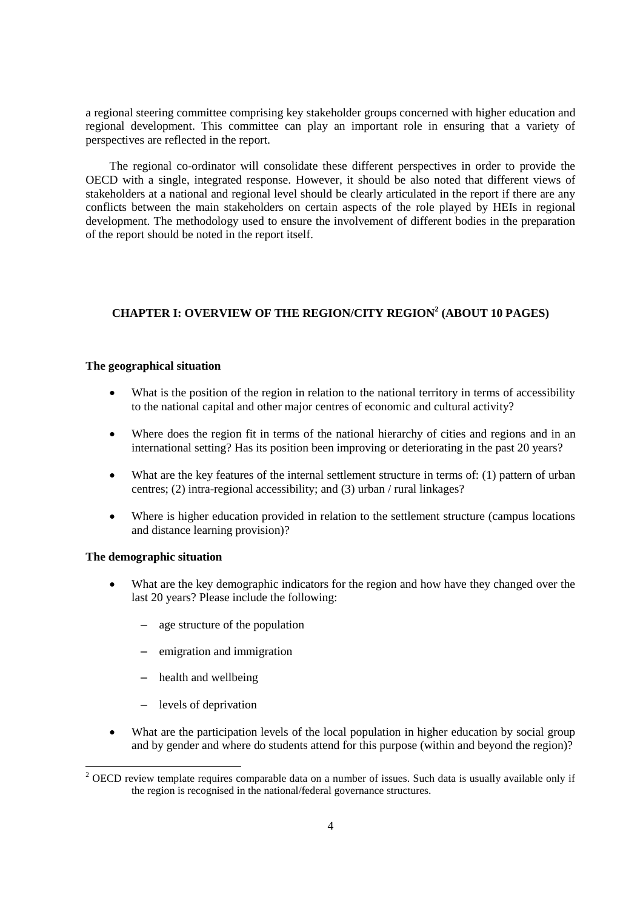a regional steering committee comprising key stakeholder groups concerned with higher education and regional development. This committee can play an important role in ensuring that a variety of perspectives are reflected in the report.

The regional co-ordinator will consolidate these different perspectives in order to provide the OECD with a single, integrated response. However, it should be also noted that different views of stakeholders at a national and regional level should be clearly articulated in the report if there are any conflicts between the main stakeholders on certain aspects of the role played by HEIs in regional development. The methodology used to ensure the involvement of different bodies in the preparation of the report should be noted in the report itself.

## **CHAPTER I: OVERVIEW OF THE REGION/CITY REGION<sup>2</sup> (ABOUT 10 PAGES)**

#### **The geographical situation**

- What is the position of the region in relation to the national territory in terms of accessibility to the national capital and other major centres of economic and cultural activity?
- Where does the region fit in terms of the national hierarchy of cities and regions and in an international setting? Has its position been improving or deteriorating in the past 20 years?
- What are the key features of the internal settlement structure in terms of: (1) pattern of urban centres; (2) intra-regional accessibility; and (3) urban / rural linkages?
- Where is higher education provided in relation to the settlement structure (campus locations and distance learning provision)?

#### **The demographic situation**

l

- What are the key demographic indicators for the region and how have they changed over the last 20 years? Please include the following:
	- age structure of the population
	- emigration and immigration
	- health and wellbeing
	- levels of deprivation
- What are the participation levels of the local population in higher education by social group and by gender and where do students attend for this purpose (within and beyond the region)?

<sup>&</sup>lt;sup>2</sup> OECD review template requires comparable data on a number of issues. Such data is usually available only if the region is recognised in the national/federal governance structures.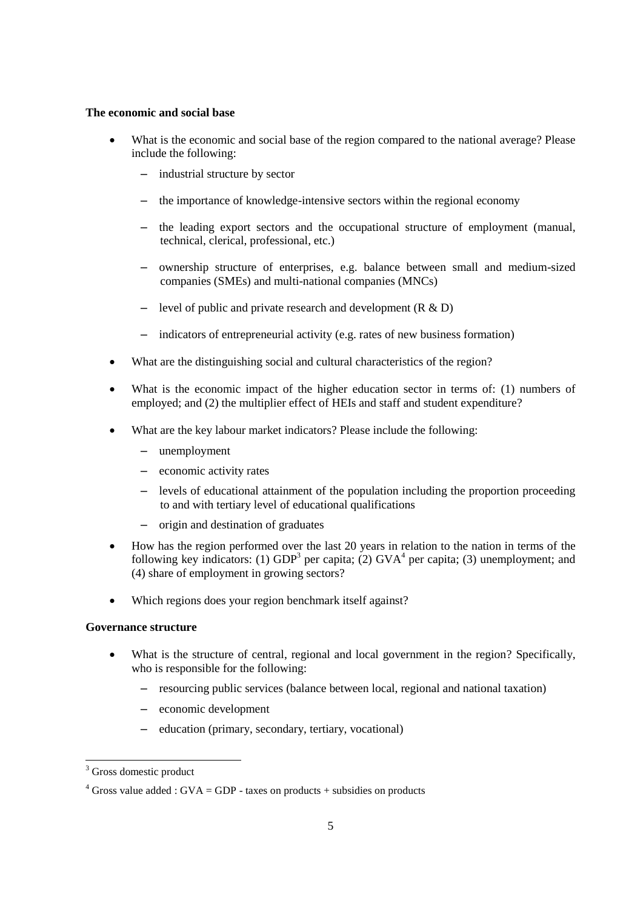#### **The economic and social base**

- What is the economic and social base of the region compared to the national average? Please include the following:
	- industrial structure by sector
	- the importance of knowledge-intensive sectors within the regional economy
	- the leading export sectors and the occupational structure of employment (manual, technical, clerical, professional, etc.)
	- ownership structure of enterprises, e.g. balance between small and medium-sized companies (SMEs) and multi-national companies (MNCs)
	- level of public and private research and development  $(R & D)$
	- indicators of entrepreneurial activity (e.g. rates of new business formation)
- What are the distinguishing social and cultural characteristics of the region?
- What is the economic impact of the higher education sector in terms of: (1) numbers of employed; and (2) the multiplier effect of HEIs and staff and student expenditure?
- What are the key labour market indicators? Please include the following:
	- unemployment
	- economic activity rates
	- levels of educational attainment of the population including the proportion proceeding to and with tertiary level of educational qualifications
	- origin and destination of graduates
- How has the region performed over the last 20 years in relation to the nation in terms of the following key indicators: (1)  $GDP<sup>3</sup>$  per capita; (2)  $GVA<sup>4</sup>$  per capita; (3) unemployment; and (4) share of employment in growing sectors?
- Which regions does your region benchmark itself against?

## **Governance structure**

- What is the structure of central, regional and local government in the region? Specifically, who is responsible for the following:
	- resourcing public services (balance between local, regional and national taxation)
	- economic development
	- education (primary, secondary, tertiary, vocational)

l

<sup>&</sup>lt;sup>3</sup> Gross domestic product

<sup>&</sup>lt;sup>4</sup> Gross value added : GVA = GDP - taxes on products + subsidies on products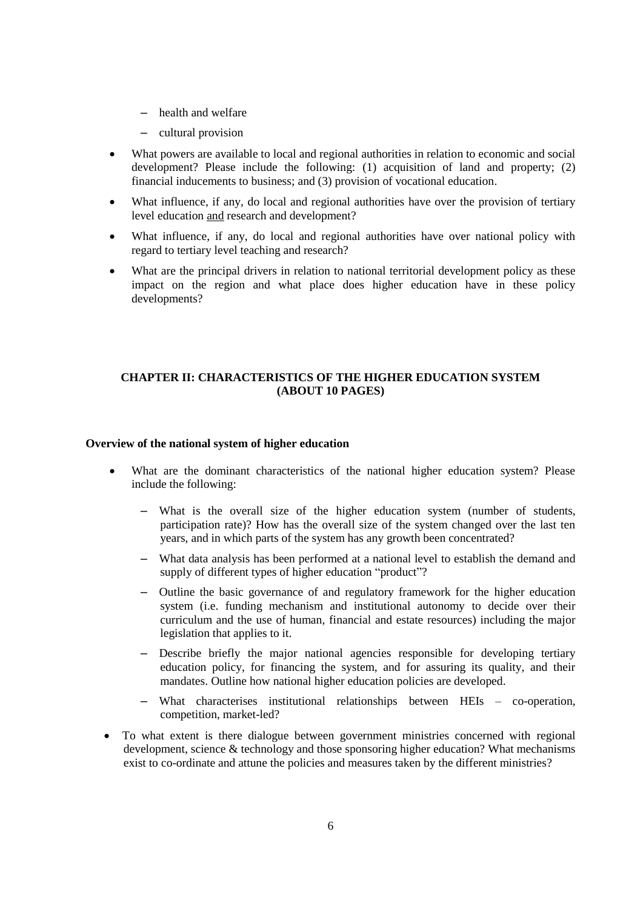- health and welfare
- cultural provision
- What powers are available to local and regional authorities in relation to economic and social development? Please include the following: (1) acquisition of land and property; (2) financial inducements to business; and (3) provision of vocational education.
- What influence, if any, do local and regional authorities have over the provision of tertiary level education and research and development?
- What influence, if any, do local and regional authorities have over national policy with regard to tertiary level teaching and research?
- What are the principal drivers in relation to national territorial development policy as these impact on the region and what place does higher education have in these policy developments?

## **CHAPTER II: CHARACTERISTICS OF THE HIGHER EDUCATION SYSTEM (ABOUT 10 PAGES)**

#### **Overview of the national system of higher education**

- What are the dominant characteristics of the national higher education system? Please include the following:
	- What is the overall size of the higher education system (number of students, participation rate)? How has the overall size of the system changed over the last ten years, and in which parts of the system has any growth been concentrated?
	- What data analysis has been performed at a national level to establish the demand and supply of different types of higher education "product"?
	- Outline the basic governance of and regulatory framework for the higher education system (i.e. funding mechanism and institutional autonomy to decide over their curriculum and the use of human, financial and estate resources) including the major legislation that applies to it.
	- Describe briefly the major national agencies responsible for developing tertiary education policy, for financing the system, and for assuring its quality, and their mandates. Outline how national higher education policies are developed.
	- What characterises institutional relationships between HEIs co-operation, competition, market-led?
- To what extent is there dialogue between government ministries concerned with regional development, science & technology and those sponsoring higher education? What mechanisms exist to co-ordinate and attune the policies and measures taken by the different ministries?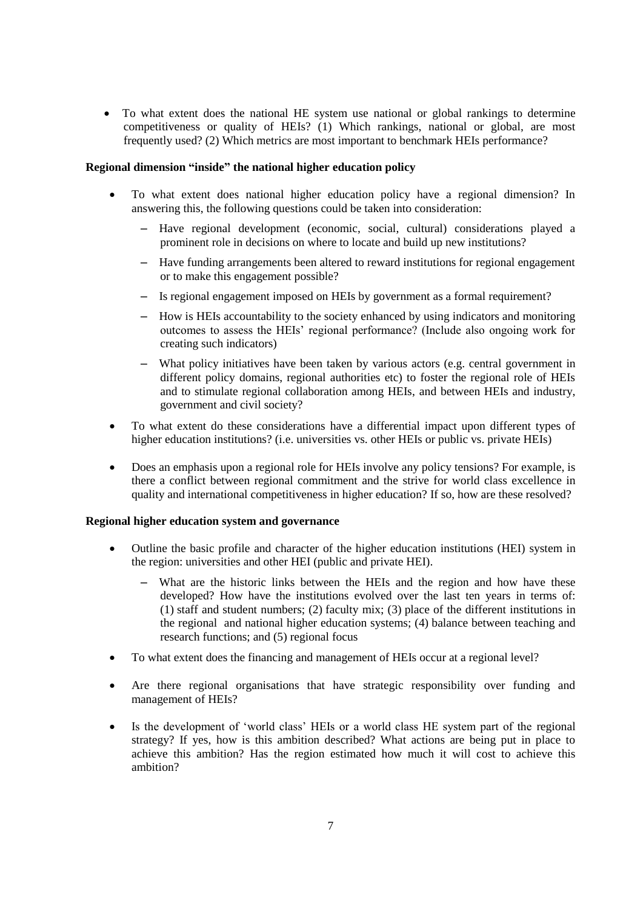To what extent does the national HE system use national or global rankings to determine competitiveness or quality of HEIs? (1) Which rankings, national or global, are most frequently used? (2) Which metrics are most important to benchmark HEIs performance?

#### **Regional dimension "inside" the national higher education policy**

- To what extent does national higher education policy have a regional dimension? In answering this, the following questions could be taken into consideration:
	- Have regional development (economic, social, cultural) considerations played a prominent role in decisions on where to locate and build up new institutions?
	- Have funding arrangements been altered to reward institutions for regional engagement or to make this engagement possible?
	- Is regional engagement imposed on HEIs by government as a formal requirement?
	- How is HEIs accountability to the society enhanced by using indicators and monitoring outcomes to assess the HEIs" regional performance? (Include also ongoing work for creating such indicators)
	- What policy initiatives have been taken by various actors (e.g. central government in different policy domains, regional authorities etc) to foster the regional role of HEIs and to stimulate regional collaboration among HEIs, and between HEIs and industry, government and civil society?
- To what extent do these considerations have a differential impact upon different types of higher education institutions? (i.e. universities vs. other HEIs or public vs. private HEIs)
- Does an emphasis upon a regional role for HEIs involve any policy tensions? For example, is there a conflict between regional commitment and the strive for world class excellence in quality and international competitiveness in higher education? If so, how are these resolved?

#### **Regional higher education system and governance**

- Outline the basic profile and character of the higher education institutions (HEI) system in the region: universities and other HEI (public and private HEI).
	- What are the historic links between the HEIs and the region and how have these developed? How have the institutions evolved over the last ten years in terms of: (1) staff and student numbers; (2) faculty mix; (3) place of the different institutions in the regional and national higher education systems; (4) balance between teaching and research functions; and (5) regional focus
- To what extent does the financing and management of HEIs occur at a regional level?
- Are there regional organisations that have strategic responsibility over funding and management of HEIs?
- Is the development of "world class" HEIs or a world class HE system part of the regional strategy? If yes, how is this ambition described? What actions are being put in place to achieve this ambition? Has the region estimated how much it will cost to achieve this ambition?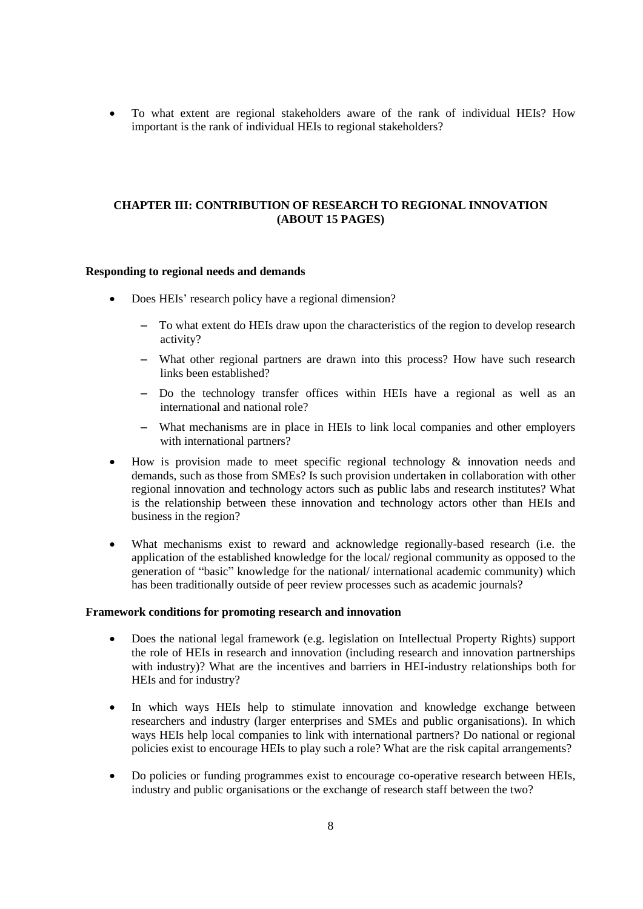To what extent are regional stakeholders aware of the rank of individual HEIs? How important is the rank of individual HEIs to regional stakeholders?

## **CHAPTER III: CONTRIBUTION OF RESEARCH TO REGIONAL INNOVATION (ABOUT 15 PAGES)**

#### **Responding to regional needs and demands**

- Does HEIs' research policy have a regional dimension?
	- To what extent do HEIs draw upon the characteristics of the region to develop research activity?
	- What other regional partners are drawn into this process? How have such research links been established?
	- Do the technology transfer offices within HEIs have a regional as well as an international and national role?
	- What mechanisms are in place in HEIs to link local companies and other employers with international partners?
- How is provision made to meet specific regional technology & innovation needs and demands, such as those from SMEs? Is such provision undertaken in collaboration with other regional innovation and technology actors such as public labs and research institutes? What is the relationship between these innovation and technology actors other than HEIs and business in the region?
- What mechanisms exist to reward and acknowledge regionally-based research (i.e. the application of the established knowledge for the local/ regional community as opposed to the generation of "basic" knowledge for the national/ international academic community) which has been traditionally outside of peer review processes such as academic journals?

#### **Framework conditions for promoting research and innovation**

- Does the national legal framework (e.g. legislation on Intellectual Property Rights) support the role of HEIs in research and innovation (including research and innovation partnerships with industry)? What are the incentives and barriers in HEI-industry relationships both for HEIs and for industry?
- In which ways HEIs help to stimulate innovation and knowledge exchange between researchers and industry (larger enterprises and SMEs and public organisations). In which ways HEIs help local companies to link with international partners? Do national or regional policies exist to encourage HEIs to play such a role? What are the risk capital arrangements?
- Do policies or funding programmes exist to encourage co-operative research between HEIs, industry and public organisations or the exchange of research staff between the two?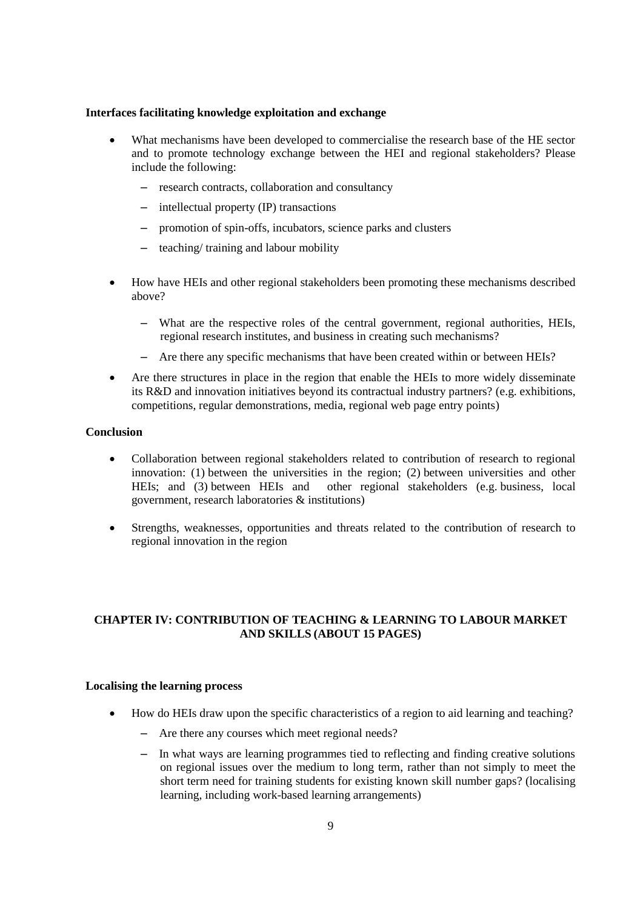#### **Interfaces facilitating knowledge exploitation and exchange**

- What mechanisms have been developed to commercialise the research base of the HE sector and to promote technology exchange between the HEI and regional stakeholders? Please include the following:
	- research contracts, collaboration and consultancy
	- intellectual property (IP) transactions
	- promotion of spin-offs, incubators, science parks and clusters
	- teaching/ training and labour mobility
- How have HEIs and other regional stakeholders been promoting these mechanisms described above?
	- What are the respective roles of the central government, regional authorities, HEIs, regional research institutes, and business in creating such mechanisms?
	- Are there any specific mechanisms that have been created within or between HEIs?
- Are there structures in place in the region that enable the HEIs to more widely disseminate its R&D and innovation initiatives beyond its contractual industry partners? (e.g. exhibitions, competitions, regular demonstrations, media, regional web page entry points)

## **Conclusion**

- Collaboration between regional stakeholders related to contribution of research to regional innovation: (1) between the universities in the region; (2) between universities and other HEIs; and (3) between HEIs and other regional stakeholders (e.g. business, local government, research laboratories & institutions)
- Strengths, weaknesses, opportunities and threats related to the contribution of research to regional innovation in the region

## **CHAPTER IV: CONTRIBUTION OF TEACHING & LEARNING TO LABOUR MARKET AND SKILLS (ABOUT 15 PAGES)**

#### **Localising the learning process**

- How do HEIs draw upon the specific characteristics of a region to aid learning and teaching?
	- Are there any courses which meet regional needs?
	- In what ways are learning programmes tied to reflecting and finding creative solutions on regional issues over the medium to long term, rather than not simply to meet the short term need for training students for existing known skill number gaps? (localising learning, including work-based learning arrangements)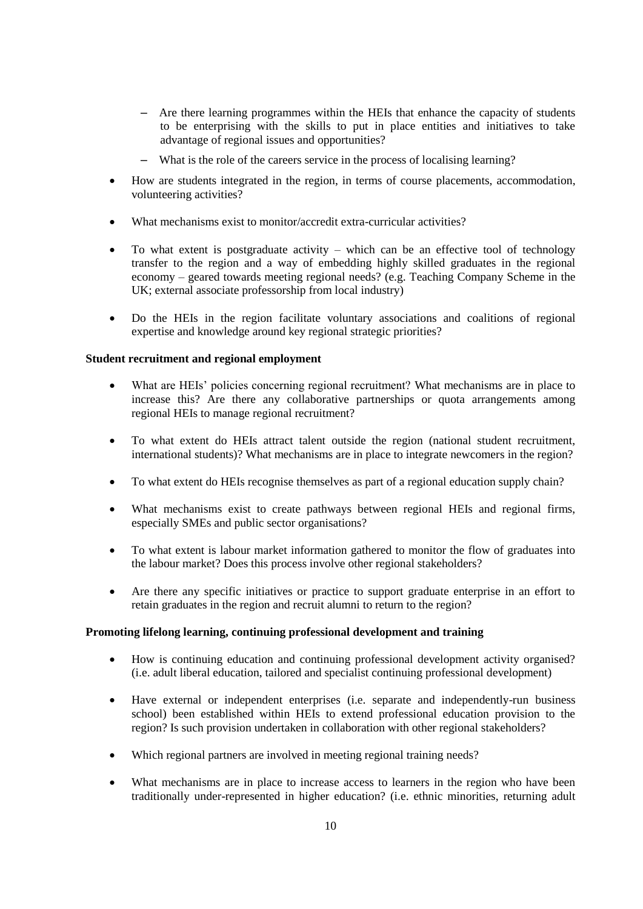- Are there learning programmes within the HEIs that enhance the capacity of students to be enterprising with the skills to put in place entities and initiatives to take advantage of regional issues and opportunities?
- What is the role of the careers service in the process of localising learning?
- How are students integrated in the region, in terms of course placements, accommodation, volunteering activities?
- What mechanisms exist to monitor/accredit extra-curricular activities?
- To what extent is postgraduate activity which can be an effective tool of technology transfer to the region and a way of embedding highly skilled graduates in the regional economy – geared towards meeting regional needs? (e.g. Teaching Company Scheme in the UK; external associate professorship from local industry)
- Do the HEIs in the region facilitate voluntary associations and coalitions of regional expertise and knowledge around key regional strategic priorities?

#### **Student recruitment and regional employment**

- What are HEIs' policies concerning regional recruitment? What mechanisms are in place to increase this? Are there any collaborative partnerships or quota arrangements among regional HEIs to manage regional recruitment?
- To what extent do HEIs attract talent outside the region (national student recruitment, international students)? What mechanisms are in place to integrate newcomers in the region?
- To what extent do HEIs recognise themselves as part of a regional education supply chain?
- What mechanisms exist to create pathways between regional HEIs and regional firms, especially SMEs and public sector organisations?
- To what extent is labour market information gathered to monitor the flow of graduates into the labour market? Does this process involve other regional stakeholders?
- Are there any specific initiatives or practice to support graduate enterprise in an effort to retain graduates in the region and recruit alumni to return to the region?

## **Promoting lifelong learning, continuing professional development and training**

- How is continuing education and continuing professional development activity organised? (i.e. adult liberal education, tailored and specialist continuing professional development)
- Have external or independent enterprises (i.e. separate and independently-run business school) been established within HEIs to extend professional education provision to the region? Is such provision undertaken in collaboration with other regional stakeholders?
- Which regional partners are involved in meeting regional training needs?
- What mechanisms are in place to increase access to learners in the region who have been traditionally under-represented in higher education? (i.e. ethnic minorities, returning adult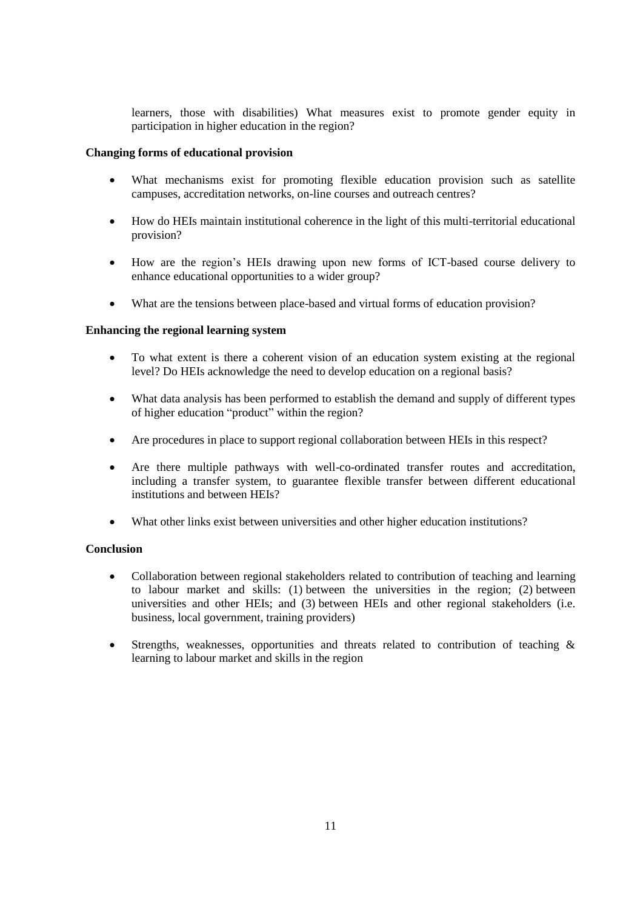learners, those with disabilities) What measures exist to promote gender equity in participation in higher education in the region?

## **Changing forms of educational provision**

- What mechanisms exist for promoting flexible education provision such as satellite campuses, accreditation networks, on-line courses and outreach centres?
- How do HEIs maintain institutional coherence in the light of this multi-territorial educational provision?
- How are the region"s HEIs drawing upon new forms of ICT-based course delivery to enhance educational opportunities to a wider group?
- What are the tensions between place-based and virtual forms of education provision?

## **Enhancing the regional learning system**

- To what extent is there a coherent vision of an education system existing at the regional level? Do HEIs acknowledge the need to develop education on a regional basis?
- What data analysis has been performed to establish the demand and supply of different types of higher education "product" within the region?
- Are procedures in place to support regional collaboration between HEIs in this respect?
- Are there multiple pathways with well-co-ordinated transfer routes and accreditation, including a transfer system, to guarantee flexible transfer between different educational institutions and between HEIs?
- What other links exist between universities and other higher education institutions?

## **Conclusion**

- Collaboration between regional stakeholders related to contribution of teaching and learning to labour market and skills: (1) between the universities in the region; (2) between universities and other HEIs; and (3) between HEIs and other regional stakeholders (i.e. business, local government, training providers)
- Strengths, weaknesses, opportunities and threats related to contribution of teaching & learning to labour market and skills in the region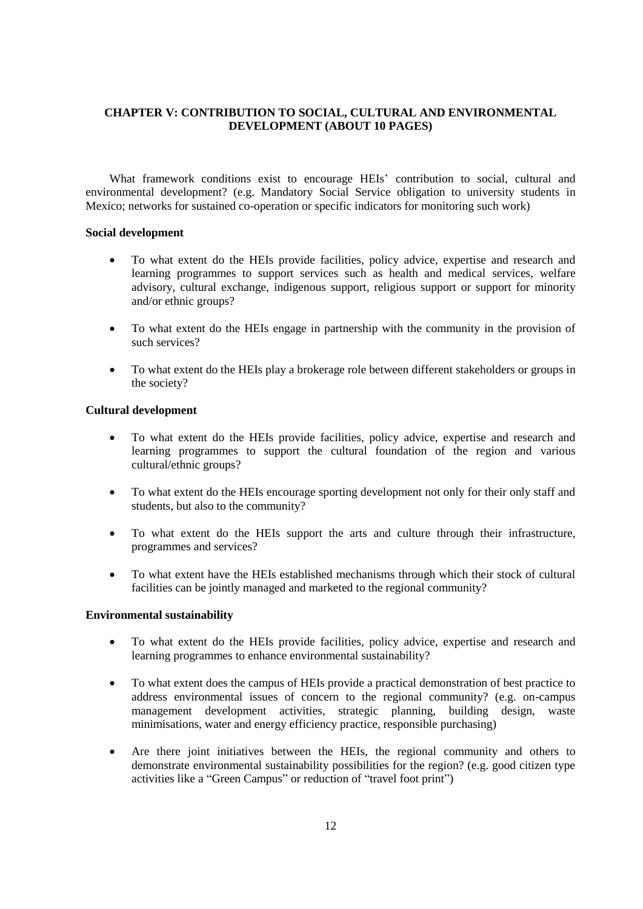## **CHAPTER V: CONTRIBUTION TO SOCIAL, CULTURAL AND ENVIRONMENTAL DEVELOPMENT (ABOUT 10 PAGES)**

What framework conditions exist to encourage HEIs' contribution to social, cultural and environmental development? (e.g. Mandatory Social Service obligation to university students in Mexico; networks for sustained co-operation or specific indicators for monitoring such work)

#### **Social development**

- To what extent do the HEIs provide facilities, policy advice, expertise and research and learning programmes to support services such as health and medical services, welfare advisory, cultural exchange, indigenous support, religious support or support for minority and/or ethnic groups?
- To what extent do the HEIs engage in partnership with the community in the provision of such services?
- To what extent do the HEIs play a brokerage role between different stakeholders or groups in the society?

## **Cultural development**

- To what extent do the HEIs provide facilities, policy advice, expertise and research and learning programmes to support the cultural foundation of the region and various cultural/ethnic groups?
- To what extent do the HEIs encourage sporting development not only for their only staff and students, but also to the community?
- To what extent do the HEIs support the arts and culture through their infrastructure, programmes and services?
- To what extent have the HEIs established mechanisms through which their stock of cultural facilities can be jointly managed and marketed to the regional community?

#### **Environmental sustainability**

- To what extent do the HEIs provide facilities, policy advice, expertise and research and learning programmes to enhance environmental sustainability?
- To what extent does the campus of HEIs provide a practical demonstration of best practice to address environmental issues of concern to the regional community? (e.g. on-campus management development activities, strategic planning, building design, waste minimisations, water and energy efficiency practice, responsible purchasing)
- Are there joint initiatives between the HEIs, the regional community and others to demonstrate environmental sustainability possibilities for the region? (e.g. good citizen type activities like a "Green Campus" or reduction of "travel foot print")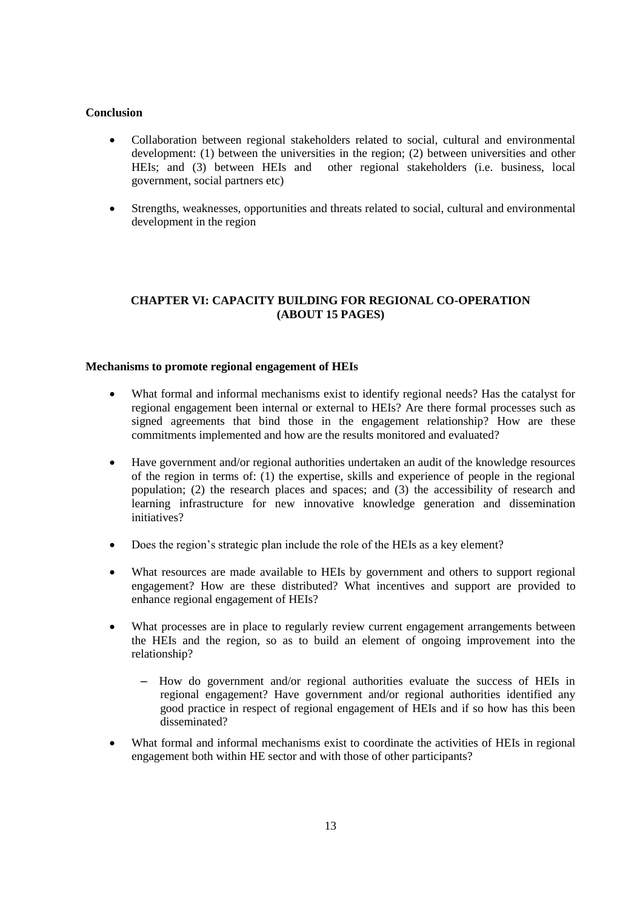## **Conclusion**

- Collaboration between regional stakeholders related to social, cultural and environmental development: (1) between the universities in the region; (2) between universities and other HEIs; and (3) between HEIs and other regional stakeholders (i.e. business, local government, social partners etc)
- Strengths, weaknesses, opportunities and threats related to social, cultural and environmental development in the region

## **CHAPTER VI: CAPACITY BUILDING FOR REGIONAL CO-OPERATION (ABOUT 15 PAGES)**

## **Mechanisms to promote regional engagement of HEIs**

- What formal and informal mechanisms exist to identify regional needs? Has the catalyst for regional engagement been internal or external to HEIs? Are there formal processes such as signed agreements that bind those in the engagement relationship? How are these commitments implemented and how are the results monitored and evaluated?
- Have government and/or regional authorities undertaken an audit of the knowledge resources of the region in terms of: (1) the expertise, skills and experience of people in the regional population; (2) the research places and spaces; and (3) the accessibility of research and learning infrastructure for new innovative knowledge generation and dissemination initiatives?
- Does the region's strategic plan include the role of the HEIs as a key element?
- What resources are made available to HEIs by government and others to support regional engagement? How are these distributed? What incentives and support are provided to enhance regional engagement of HEIs?
- What processes are in place to regularly review current engagement arrangements between the HEIs and the region, so as to build an element of ongoing improvement into the relationship?
	- How do government and/or regional authorities evaluate the success of HEIs in regional engagement? Have government and/or regional authorities identified any good practice in respect of regional engagement of HEIs and if so how has this been disseminated?
- What formal and informal mechanisms exist to coordinate the activities of HEIs in regional engagement both within HE sector and with those of other participants?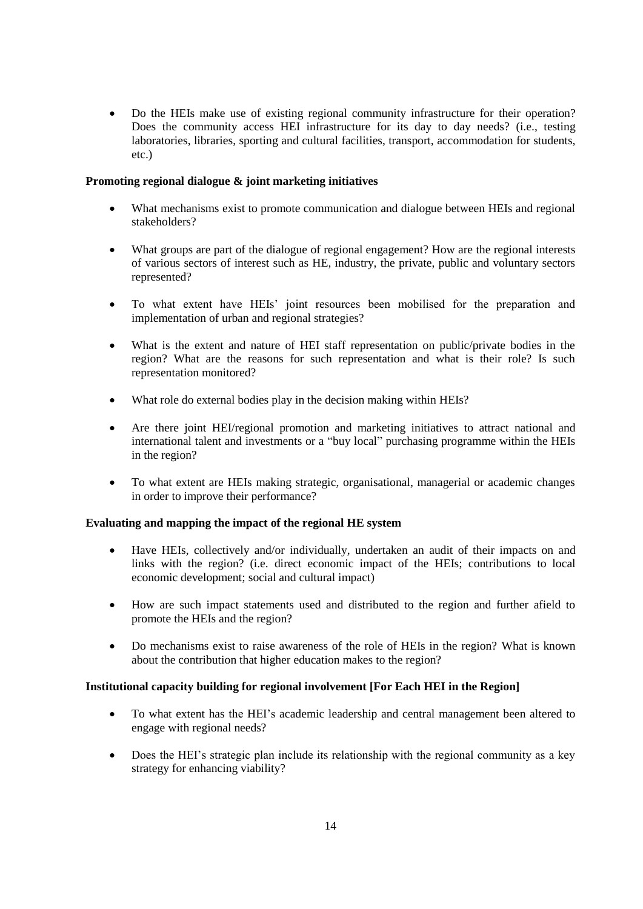Do the HEIs make use of existing regional community infrastructure for their operation? Does the community access HEI infrastructure for its day to day needs? (i.e., testing laboratories, libraries, sporting and cultural facilities, transport, accommodation for students, etc.)

## **Promoting regional dialogue & joint marketing initiatives**

- What mechanisms exist to promote communication and dialogue between HEIs and regional stakeholders?
- What groups are part of the dialogue of regional engagement? How are the regional interests of various sectors of interest such as HE, industry, the private, public and voluntary sectors represented?
- To what extent have HEIs' joint resources been mobilised for the preparation and implementation of urban and regional strategies?
- What is the extent and nature of HEI staff representation on public/private bodies in the region? What are the reasons for such representation and what is their role? Is such representation monitored?
- What role do external bodies play in the decision making within HEIs?
- Are there joint HEI/regional promotion and marketing initiatives to attract national and international talent and investments or a "buy local" purchasing programme within the HEIs in the region?
- To what extent are HEIs making strategic, organisational, managerial or academic changes in order to improve their performance?

## **Evaluating and mapping the impact of the regional HE system**

- Have HEIs, collectively and/or individually, undertaken an audit of their impacts on and links with the region? (i.e. direct economic impact of the HEIs; contributions to local economic development; social and cultural impact)
- How are such impact statements used and distributed to the region and further afield to promote the HEIs and the region?
- Do mechanisms exist to raise awareness of the role of HEIs in the region? What is known about the contribution that higher education makes to the region?

#### **Institutional capacity building for regional involvement [For Each HEI in the Region]**

- To what extent has the HEI"s academic leadership and central management been altered to engage with regional needs?
- Does the HEI"s strategic plan include its relationship with the regional community as a key strategy for enhancing viability?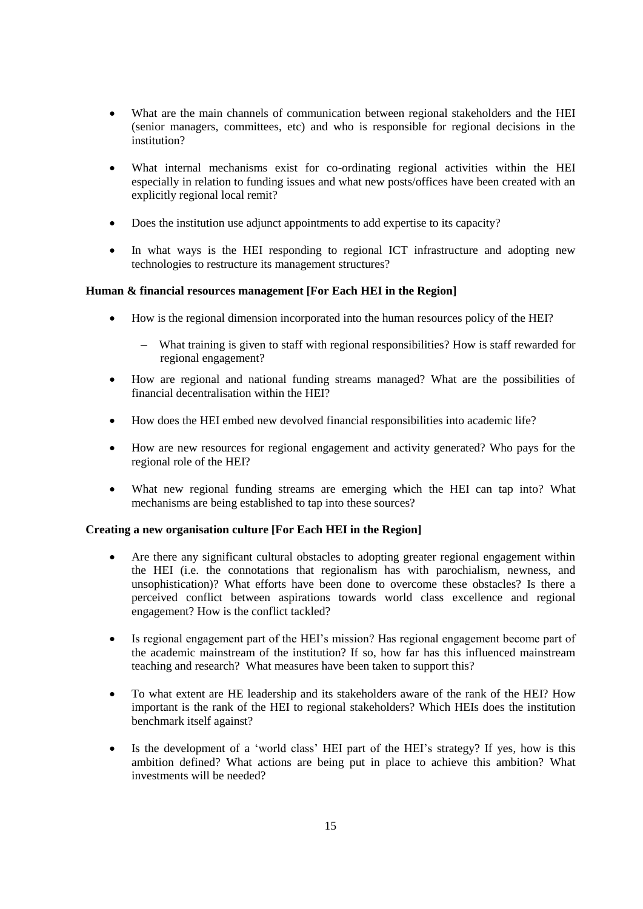- What are the main channels of communication between regional stakeholders and the HEI (senior managers, committees, etc) and who is responsible for regional decisions in the institution?
- What internal mechanisms exist for co-ordinating regional activities within the HEI especially in relation to funding issues and what new posts/offices have been created with an explicitly regional local remit?
- Does the institution use adjunct appointments to add expertise to its capacity?
- In what ways is the HEI responding to regional ICT infrastructure and adopting new technologies to restructure its management structures?

## **Human & financial resources management [For Each HEI in the Region]**

- How is the regional dimension incorporated into the human resources policy of the HEI?
	- What training is given to staff with regional responsibilities? How is staff rewarded for regional engagement?
- How are regional and national funding streams managed? What are the possibilities of financial decentralisation within the HEI?
- How does the HEI embed new devolved financial responsibilities into academic life?
- How are new resources for regional engagement and activity generated? Who pays for the regional role of the HEI?
- What new regional funding streams are emerging which the HEI can tap into? What mechanisms are being established to tap into these sources?

## **Creating a new organisation culture [For Each HEI in the Region]**

- Are there any significant cultural obstacles to adopting greater regional engagement within the HEI (i.e. the connotations that regionalism has with parochialism, newness, and unsophistication)? What efforts have been done to overcome these obstacles? Is there a perceived conflict between aspirations towards world class excellence and regional engagement? How is the conflict tackled?
- Is regional engagement part of the HEI"s mission? Has regional engagement become part of the academic mainstream of the institution? If so, how far has this influenced mainstream teaching and research? What measures have been taken to support this?
- To what extent are HE leadership and its stakeholders aware of the rank of the HEI? How important is the rank of the HEI to regional stakeholders? Which HEIs does the institution benchmark itself against?
- Is the development of a "world class" HEI part of the HEI"s strategy? If yes, how is this ambition defined? What actions are being put in place to achieve this ambition? What investments will be needed?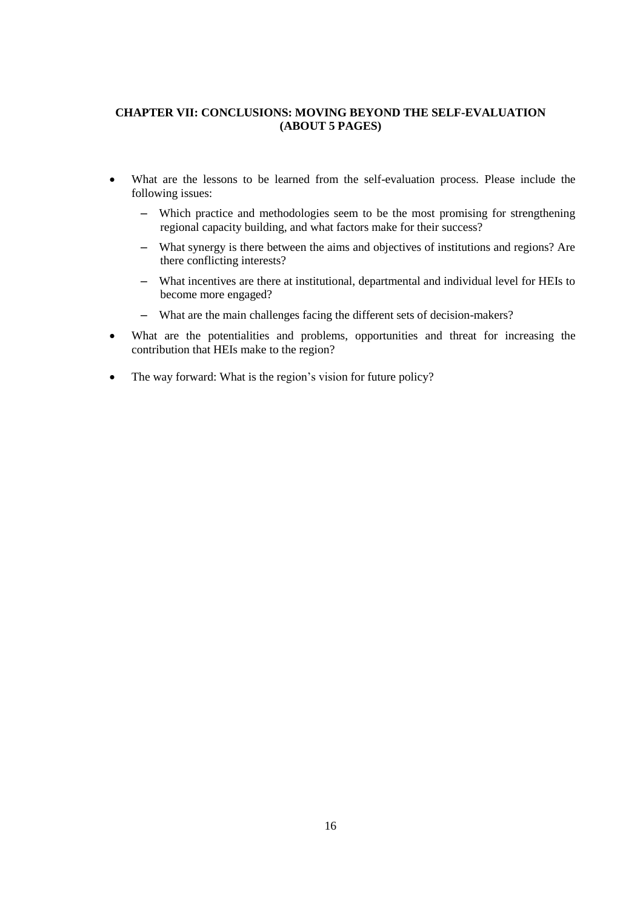## **CHAPTER VII: CONCLUSIONS: MOVING BEYOND THE SELF-EVALUATION (ABOUT 5 PAGES)**

- What are the lessons to be learned from the self-evaluation process. Please include the following issues:
	- Which practice and methodologies seem to be the most promising for strengthening regional capacity building, and what factors make for their success?
	- What synergy is there between the aims and objectives of institutions and regions? Are there conflicting interests?
	- What incentives are there at institutional, departmental and individual level for HEIs to become more engaged?
	- What are the main challenges facing the different sets of decision-makers?
- What are the potentialities and problems, opportunities and threat for increasing the contribution that HEIs make to the region?
- The way forward: What is the region's vision for future policy?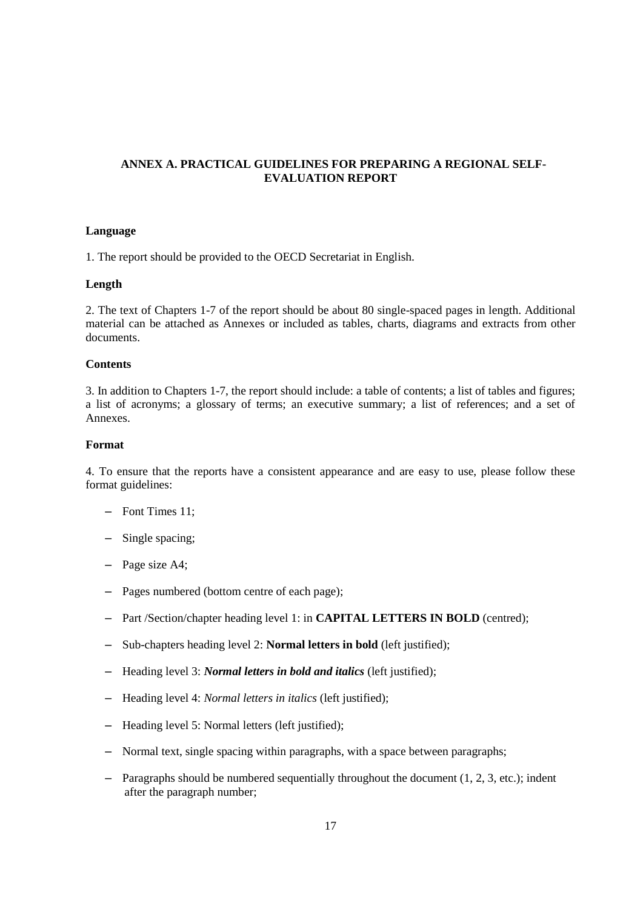## **ANNEX A. PRACTICAL GUIDELINES FOR PREPARING A REGIONAL SELF-EVALUATION REPORT**

## **Language**

1. The report should be provided to the OECD Secretariat in English.

## **Length**

2. The text of Chapters 1-7 of the report should be about 80 single-spaced pages in length. Additional material can be attached as Annexes or included as tables, charts, diagrams and extracts from other documents.

## **Contents**

3. In addition to Chapters 1-7, the report should include: a table of contents; a list of tables and figures; a list of acronyms; a glossary of terms; an executive summary; a list of references; and a set of Annexes.

## **Format**

4. To ensure that the reports have a consistent appearance and are easy to use, please follow these format guidelines:

- Font Times 11;
- Single spacing;
- Page size A4;
- Pages numbered (bottom centre of each page);
- Part /Section/chapter heading level 1: in **CAPITAL LETTERS IN BOLD** (centred);
- Sub-chapters heading level 2: **Normal letters in bold** (left justified);
- Heading level 3: *Normal letters in bold and italics* (left justified);
- Heading level 4: *Normal letters in italics* (left justified);
- Heading level 5: Normal letters (left justified);
- Normal text, single spacing within paragraphs, with a space between paragraphs;
- $-$  Paragraphs should be numbered sequentially throughout the document (1, 2, 3, etc.); indent after the paragraph number;